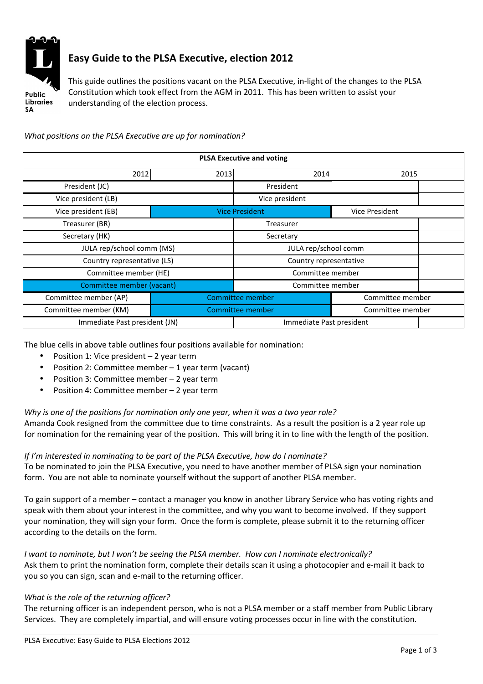

# Easy Guide to the PLSA Executive, election 2012

This guide outlines the positions vacant on the PLSA Executive, in-light of the changes to the PLSA Constitution which took effect from the AGM in 2011. This has been written to assist your understanding of the election process.

What positions on the PLSA Executive are up for nomination?

| <b>PLSA Executive and voting</b> |                                      |                          |                       |  |
|----------------------------------|--------------------------------------|--------------------------|-----------------------|--|
| 2013<br>2012                     |                                      | 2014                     | 2015                  |  |
| President (JC)                   |                                      | President                |                       |  |
| Vice president (LB)              |                                      | Vice president           |                       |  |
| Vice president (EB)              |                                      | <b>Vice President</b>    | <b>Vice President</b> |  |
| Treasurer (BR)                   |                                      | <b>Treasurer</b>         |                       |  |
| Secretary (HK)                   |                                      | Secretary                |                       |  |
| JULA rep/school comm (MS)        |                                      | JULA rep/school comm     |                       |  |
| Country representative (LS)      |                                      | Country representative   |                       |  |
| Committee member (HE)            |                                      | Committee member         |                       |  |
| Committee member (vacant)        |                                      | Committee member         |                       |  |
| Committee member (AP)            | Committee member<br>Committee member |                          |                       |  |
| Committee member (KM)            | Committee member<br>Committee member |                          |                       |  |
| Immediate Past president (JN)    |                                      | Immediate Past president |                       |  |

The blue cells in above table outlines four positions available for nomination:

- Position 1: Vice president 2 year term
- Position 2: Committee member 1 year term (vacant)
- Position 3: Committee member 2 year term
- Position 4: Committee member 2 year term

# Why is one of the positions for nomination only one year, when it was a two year role?

Amanda Cook resigned from the committee due to time constraints. As a result the position is a 2 year role up for nomination for the remaining year of the position. This will bring it in to line with the length of the position.

# If I'm interested in nominating to be part of the PLSA Executive, how do I nominate?

To be nominated to join the PLSA Executive, you need to have another member of PLSA sign your nomination form. You are not able to nominate yourself without the support of another PLSA member.

To gain support of a member – contact a manager you know in another Library Service who has voting rights and speak with them about your interest in the committee, and why you want to become involved. If they support your nomination, they will sign your form. Once the form is complete, please submit it to the returning officer according to the details on the form.

#### I want to nominate, but I won't be seeing the PLSA member. How can I nominate electronically? Ask them to print the nomination form, complete their details scan it using a photocopier and e-mail it back to

you so you can sign, scan and e-mail to the returning officer.

# What is the role of the returning officer?

The returning officer is an independent person, who is not a PLSA member or a staff member from Public Library Services. They are completely impartial, and will ensure voting processes occur in line with the constitution.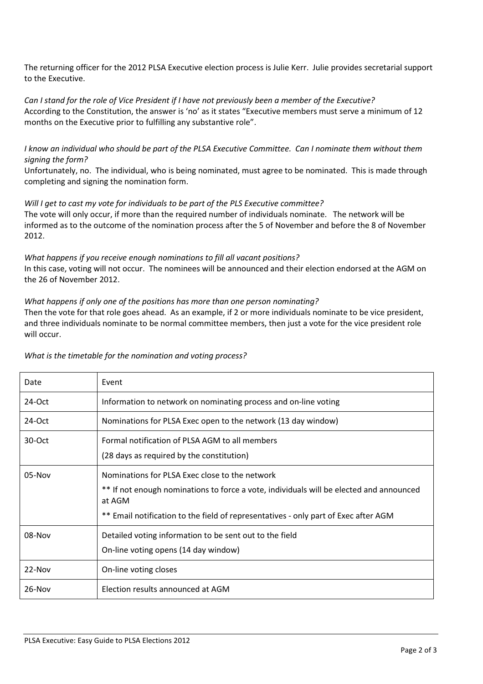The returning officer for the 2012 PLSA Executive election process is Julie Kerr. Julie provides secretarial support to the Executive.

Can I stand for the role of Vice President if I have not previously been a member of the Executive? According to the Constitution, the answer is 'no' as it states "Executive members must serve a minimum of 12 months on the Executive prior to fulfilling any substantive role".

I know an individual who should be part of the PLSA Executive Committee. Can I nominate them without them signing the form?

Unfortunately, no. The individual, who is being nominated, must agree to be nominated. This is made through completing and signing the nomination form.

#### Will I get to cast my vote for individuals to be part of the PLS Executive committee?

The vote will only occur, if more than the required number of individuals nominate. The network will be informed as to the outcome of the nomination process after the 5 of November and before the 8 of November 2012.

#### What happens if you receive enough nominations to fill all vacant positions? In this case, voting will not occur. The nominees will be announced and their election endorsed at the AGM on the 26 of November 2012.

#### What happens if only one of the positions has more than one person nominating?

Then the vote for that role goes ahead. As an example, if 2 or more individuals nominate to be vice president, and three individuals nominate to be normal committee members, then just a vote for the vice president role will occur.

| Date     | Event                                                                                                                                                                                                                                      |
|----------|--------------------------------------------------------------------------------------------------------------------------------------------------------------------------------------------------------------------------------------------|
| $24-Oct$ | Information to network on nominating process and on-line voting                                                                                                                                                                            |
| $24-Oct$ | Nominations for PLSA Exec open to the network (13 day window)                                                                                                                                                                              |
| $30-Oct$ | Formal notification of PLSA AGM to all members<br>(28 days as required by the constitution)                                                                                                                                                |
| 05-Nov   | Nominations for PLSA Exec close to the network<br>** If not enough nominations to force a vote, individuals will be elected and announced<br>at AGM<br>** Email notification to the field of representatives - only part of Exec after AGM |
| 08-Nov   | Detailed voting information to be sent out to the field<br>On-line voting opens (14 day window)                                                                                                                                            |
| $22-Nov$ | On-line voting closes                                                                                                                                                                                                                      |
| $26-Nov$ | Election results announced at AGM                                                                                                                                                                                                          |

#### What is the timetable for the nomination and voting process?